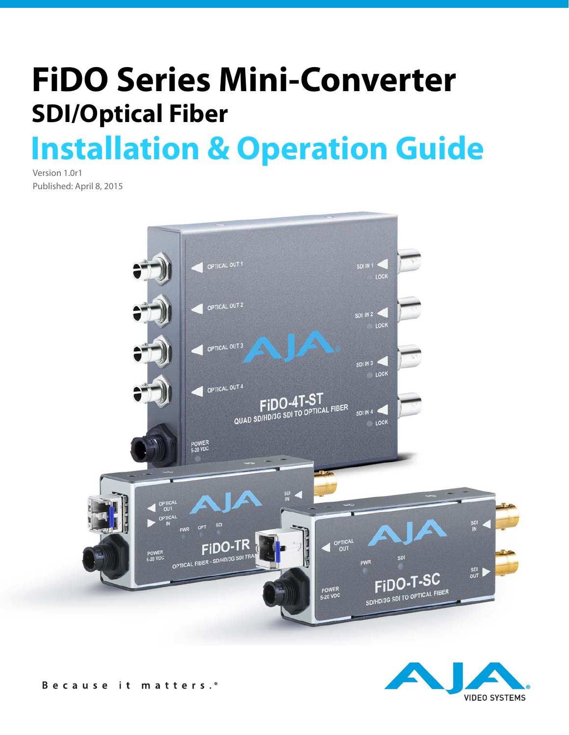# **Installation & Operation Guide FiDO Series Mini-Converter SDI/Optical Fiber**

Version 1.0r1 Published: April 8, 2015



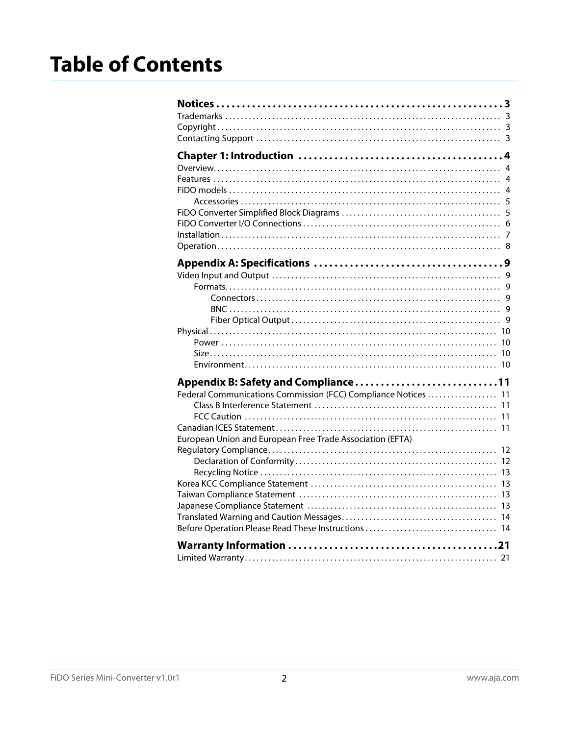| Appendix B: Safety and Compliance11                            |
|----------------------------------------------------------------|
| Federal Communications Commission (FCC) Compliance Notices  11 |
|                                                                |
|                                                                |
|                                                                |
| European Union and European Free Trade Association (EFTA)      |
|                                                                |
|                                                                |
|                                                                |
|                                                                |
|                                                                |
|                                                                |
|                                                                |
|                                                                |
|                                                                |
|                                                                |
|                                                                |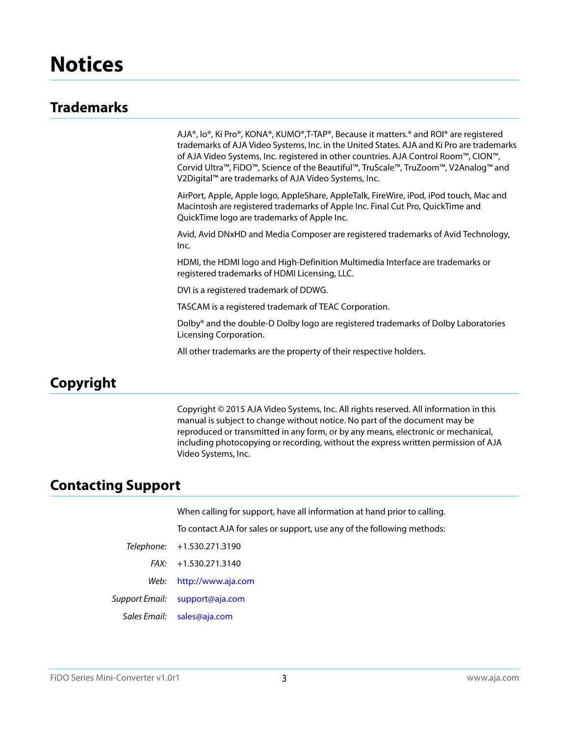# <span id="page-2-1"></span><span id="page-2-0"></span>**Trademarks**

AJA®, lo®, Ki Pro®, KONA®, KUMO®,T-TAP®, Because it matters.® and ROI® are registered trademarks of AJA Video Systems, Inc. in the United States. AJA and Ki Pro are trademarks of AJA Video Systems, Inc. registered in other countries. AJA Control Room™, CION™, Corvid Ultra™, FiDO™, Science of the Beautiful™, TruScale™, TruZoom™, V2Analog™ and V2Digital™ are trademarks of AJA Video Systems, Inc.

AirPort, Apple, Apple logo, AppleShare, AppleTalk, FireWire, iPod, iPod touch, Mac and Macintosh are registered trademarks of Apple Inc. Final Cut Pro, QuickTime and QuickTime logo are trademarks of Apple Inc.

Avid, Avid DNxHD and Media Composer are registered trademarks of Avid Technology, Inc.

HDMI, the HDMI logo and High-Definition Multimedia Interface are trademarks or registered trademarks of HDMI Licensing, LLC.

DVI is a registered trademark of DDWG.

TASCAM is a registered trademark of TEAC Corporation.

Dolby® and the double-D Dolby logo are registered trademarks of Dolby Laboratories Licensing Corporation.

All other trademarks are the property of their respective holders.

# <span id="page-2-2"></span>**Copyright**

Copyright © 2015 AJA Video Systems, Inc. All rights reserved. All information in this manual is subject to change without notice. No part of the document may be reproduced or transmitted in any form, or by any means, electronic or mechanical, including photocopying or recording, without the express written permission of AJA Video Systems, Inc.

# <span id="page-2-3"></span>**Contacting Support**

When calling for support, have all information at hand prior to calling.

To contact AJA for sales or support, use any of the following methods:

| Telephone: | $+1.530.271.3190$ |
|------------|-------------------|
|------------|-------------------|

FAX: +1.530.271.3140

Web: http://www.aja.com

Support Email: support@aja.com

Sales Email: sales@aja.com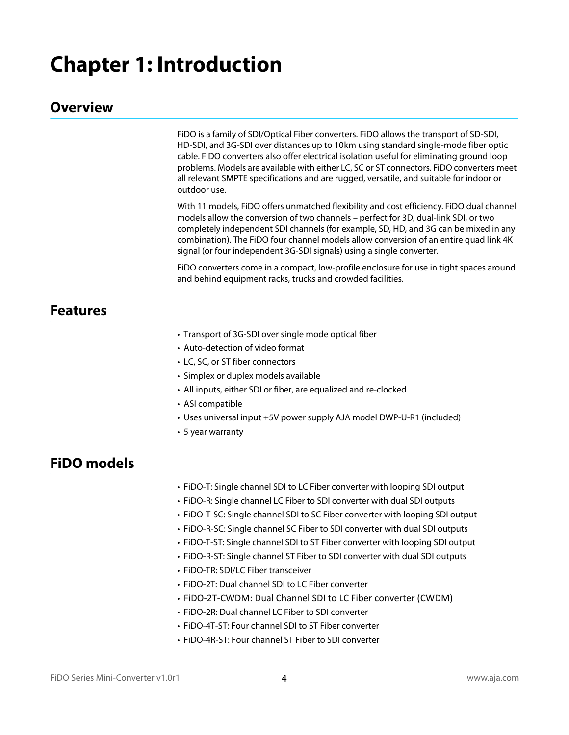# <span id="page-3-0"></span>**Chapter 1: Introduction**

## <span id="page-3-1"></span>**Overview**

FiDO is a family of SDI/Optical Fiber converters. FiDO allows the transport of SD-SDI, HD-SDI, and 3G-SDI over distances up to 10km using standard single-mode fiber optic cable. FiDO converters also offer electrical isolation useful for eliminating ground loop problems. Models are available with either LC, SC or ST connectors. FiDO converters meet all relevant SMPTE specifications and are rugged, versatile, and suitable for indoor or outdoor use.

With 11 models, FiDO offers unmatched flexibility and cost efficiency. FiDO dual channel models allow the conversion of two channels – perfect for 3D, dual-link SDI, or two completely independent SDI channels (for example, SD, HD, and 3G can be mixed in any combination). The FiDO four channel models allow conversion of an entire quad link 4K signal (or four independent 3G-SDI signals) using a single converter.

FiDO converters come in a compact, low-profile enclosure for use in tight spaces around and behind equipment racks, trucks and crowded facilities.

## <span id="page-3-2"></span>**Features**

- Transport of 3G-SDI over single mode optical fiber
- Auto-detection of video format
- LC, SC, or ST fiber connectors
- Simplex or duplex models available
- All inputs, either SDI or fiber, are equalized and re-clocked
- ASI compatible
- Uses universal input +5V power supply AJA model DWP-U-R1 (included)
- 5 year warranty

# <span id="page-3-3"></span>**FiDO models**

- FiDO-T: Single channel SDI to LC Fiber converter with looping SDI output
- FiDO-R: Single channel LC Fiber to SDI converter with dual SDI outputs
- FiDO-T-SC: Single channel SDI to SC Fiber converter with looping SDI output
- FiDO-R-SC: Single channel SC Fiber to SDI converter with dual SDI outputs
- FiDO-T-ST: Single channel SDI to ST Fiber converter with looping SDI output
- FiDO-R-ST: Single channel ST Fiber to SDI converter with dual SDI outputs
- FiDO-TR: SDI/LC Fiber transceiver
- FiDO-2T: Dual channel SDI to LC Fiber converter
- FiDO-2T-CWDM: Dual Channel SDI to LC Fiber converter (CWDM)
- FiDO-2R: Dual channel LC Fiber to SDI converter
- FiDO-4T-ST: Four channel SDI to ST Fiber converter
- FiDO-4R-ST: Four channel ST Fiber to SDI converter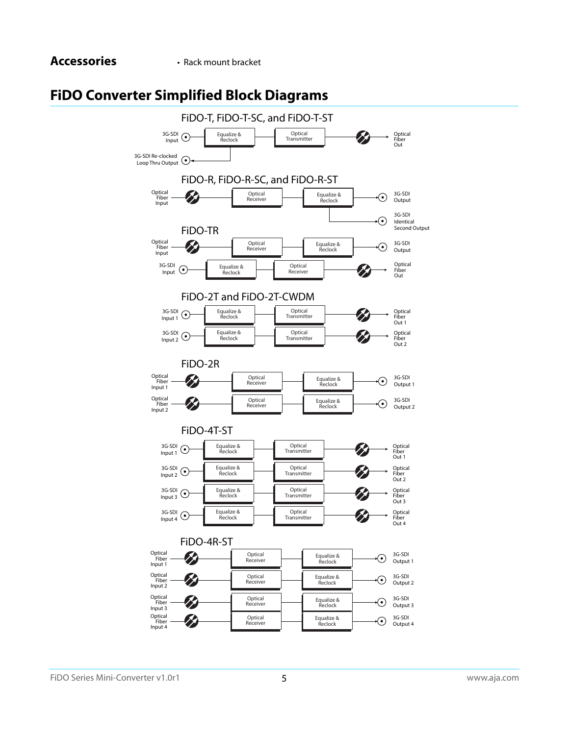# <span id="page-4-1"></span><span id="page-4-0"></span>**FiDO Converter Simplified Block Diagrams**

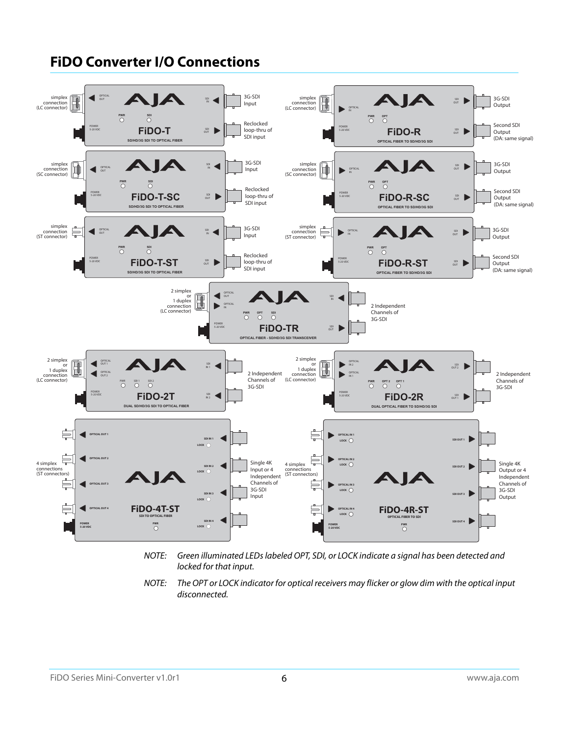#### <span id="page-5-0"></span>**FiDO Converter I/O Connections** 3G-SDI OPTI<br>OUT d AIA 3G-SDI simplex<br>connection<br>(LC connector)  $\mathbb{R}$  $\mathbb{B}$ **IN** simplex<br>connection<br>(LC connector) **OUT SDI SDI OUT Output** Input **OPTICAL IN PWR SDI PWR OPT** Reclocked Second SDI **POWER 5-20 VDC SDI SDI SDI D POWER 5-20 VDC** loop-thru of **SOLUTE:**  $\mathbb{R}$  **D** Output SDI input (DA: same signal) **SD/HD/3G SDI TO OPTICAL FIBER OPTICAL FIBER TO SD/HD/3G SDI** A 3G-SDI **D** 3G-SDI simplex<br>connection<br>(SC connector) ß simplex<br>connection<br>(SC connector) **SDI IN SDI OUT** d **OPTICAL OUT** Input **OPTICAL IN** Output **PWR SDI PWR OPT** Reclocked Second SDI **POWER 5-20 VDC SDIPO-T-SC SDIPUTE: POWER 5-20 VDC**  $\blacksquare$ loop-thru of **SDI FiDO-R-SC OUT** Output SDI input (DA: same signal) **SD/HD/3G SDI TO OPTICAL FIBER OPTICAL FIBER TO SD/HD/3G SDI** simplex<br>connection Ę 3G-SDI simplex **OUT SDI** IA 3G-SDI **OPTICAL**  $\frac{SDI}{IN}$ ŧ  $\Rightarrow$ ◀ connection (ST connector) **OPTICAL IN SDI OUT** Input (ST connector) Output **PWR SDI PWR OPT** Reclocked Second SDI **POWER** loop-thru of **POWER FiDO-T-ST**  $\frac{30}{600}$  ▶ **SDIPO-R-ST SDIPLE 5-20 VDC** Output **5-20 VDC** SDI input (DA: same signal) **SD/HD/3G SDI TO OPTICAL FIBER OPTICAL FIBER TO SD/HD/3G SDI** 2 simplex ◀ **OPTICAL** or 1 duplex connection (LC connector) B **OUT SDI IN** 2 Independent **OPTICAL IN** Channels of **PWR OPT SDI** 3G-SDI **POWER SOLUTE SDIPLE SDIPLE SDIPLE SDIPLE SDIPLE SDIPLE SDIPLE SDIPLE SDIPLE SDIPLE SDIPLE SDIPLE SDIPLE SDIPLE SDIPLE SDIPLE 5-20 VDC OPTICAL FIBER - SD/HD/3G SDI TRANSCEIVER** 2 simplex 2 simplex  $\mathbf{B}$ OPTICAL OUT 1  $\mathbf{R}$ **OPTICAL IN 2**  $\blacktriangleleft$ or 1 duplex connection (LC connector) or 1 duplex SDI IN 1 **SDI OUT 2** D  $\blacktriangleleft$ 2 Independent 2 Independent OPTICAL OUT 2 **OPTICAL IN 1** connection (LC connector) Channels of Channels of PWR SDI1 SDI2 **PWR OPT 2 OPT 1** 3G-SDI 3G-SDI POWER **POWER 5-20 VDC**  $FIDO-2T$  SD  $\triangleleft$ **FiDO-2R OUT** 5-20 VDC **DUAL SD/HD/3G SDI TO OPTICAL FIBER DUAL OPTICAL FIBER TO SD/HD/3G SDI**  $\Rightarrow$ ė, **CAL OUT 1 OPTICAL IN 1 LOCK SDI IN 1 SDI OUT 1** LOCK<sup>O</sup> Ę **OPTICAL OUT 2**  $\Rightarrow$ **OPTICAL IN 2 LOCK** Single 4K 4 simplex Single 4K 4 simplex **SDI IN 2**<br>⊾OCK ∩ **SDI OUT 2** D Input or 4 Output or 4 connections (ST connectors) connections (ST connectors) Independent Independent Channels of Channels of **OPTICAL OUT 3 OPTICAL IN 3 LOCK** 3G-SDI 3G-SDI  $\sum_{\text{out 3}}$ **SDI IN 3**<br>∣OCK ∩ Input OutputĘ ≑ **COUT4 CHOO-4T-ST** 5  $FIDO-4R-ST$ **LOCK** O **SDI TO OPTICAL FIBER OPTICAL FIBER TO SDI**  $SUT 4$ **SDI IN 4**<br>I OCK ∩ **PWR POWER 5-20 VDC PWR POWER 5-20 VDC**

- NOTE: Green illuminated LEDs labeled OPT, SDI, or LOCK indicate a signal has been detected and locked for that input.
- NOTE: The OPT or LOCK indicator for optical receivers may flicker or glow dim with the optical input disconnected.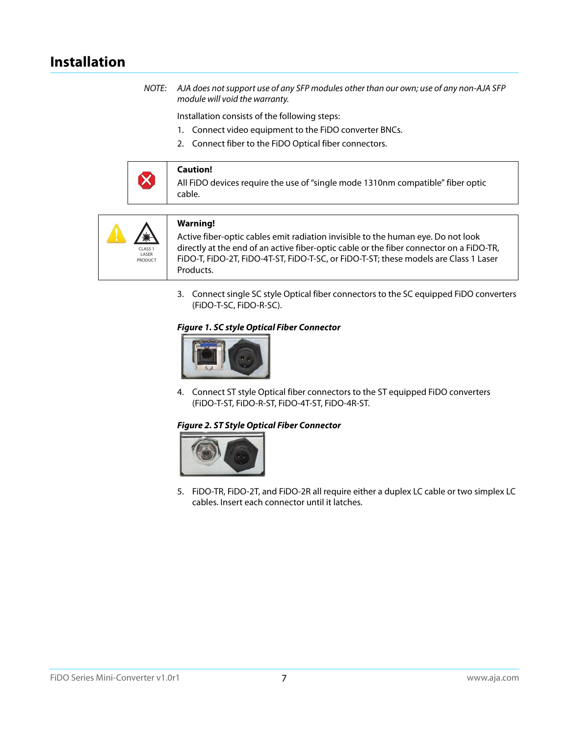# <span id="page-6-0"></span>**Installation**

NOTE: AJA does not support use of any SFP modules other than our own; use of any non-AJA SFP module will void the warranty.

Installation consists of the following steps:

- 1. Connect video equipment to the FiDO converter BNCs.
- 2. Connect fiber to the FiDO Optical fiber connectors.





3. Connect single SC style Optical fiber connectors to the SC equipped FiDO converters (FiDO-T-SC, FiDO-R-SC).



4. Connect ST style Optical fiber connectors to the ST equipped FiDO converters (FiDO-T-ST, FiDO-R-ST, FiDO-4T-ST, FiDO-4R-ST.



5. FiDO-TR, FiDO-2T, and FiDO-2R all require either a duplex LC cable or two simplex LC cables. Insert each connector until it latches.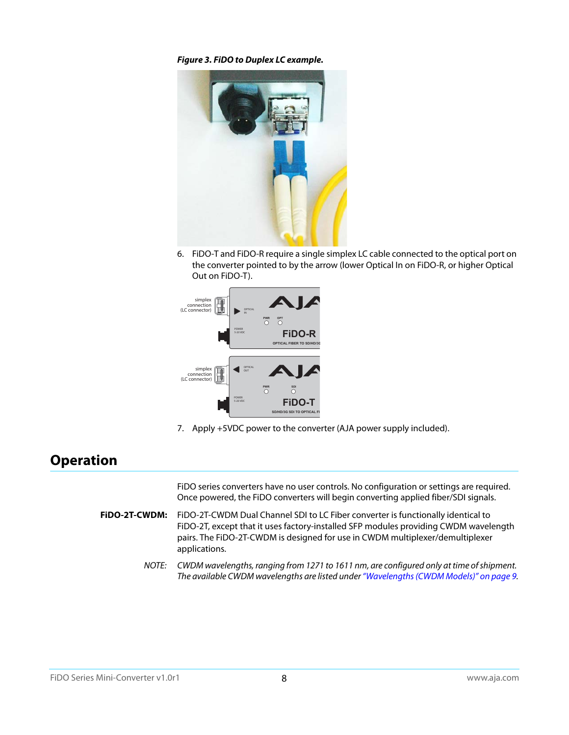*Figure 3. FiDO to Duplex LC example.*



6. FiDO-T and FiDO-R require a single simplex LC cable connected to the optical port on the converter pointed to by the arrow (lower Optical In on FiDO-R, or higher Optical Out on FiDO-T).



7. Apply +5VDC power to the converter (AJA power supply included).

# <span id="page-7-0"></span>**Operation**

FiDO series converters have no user controls. No configuration or settings are required. Once powered, the FiDO converters will begin converting applied fiber/SDI signals.

- **FiDO-2T-CWDM:** FiDO-2T-CWDM Dual Channel SDI to LC Fiber converter is functionally identical to FiDO-2T, except that it uses factory-installed SFP modules providing CWDM wavelength pairs. The FiDO-2T-CWDM is designed for use in CWDM multiplexer/demultiplexer applications.
	- NOTE: CWDM wavelengths, ranging from 1271 to 1611 nm, are configured only at time of shipment. The available CWDM wavelengths are listed under ["Wavelengths \(CWDM Models\)" on page](#page-8-6) 9.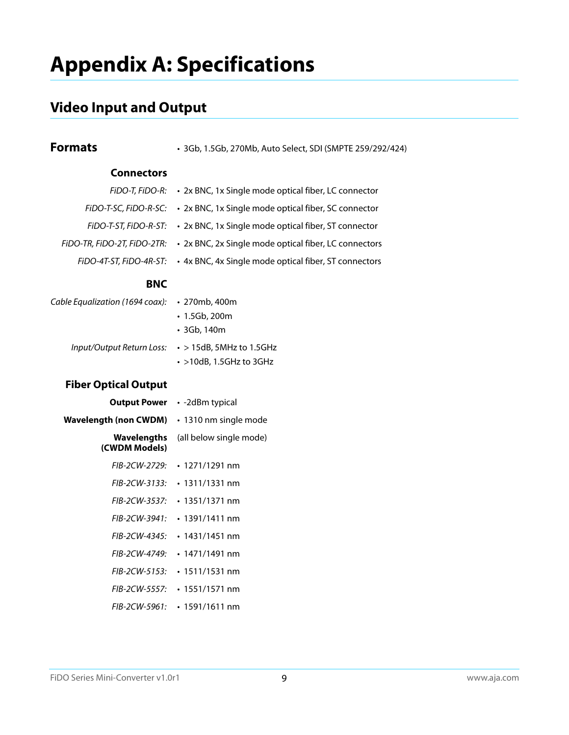# <span id="page-8-0"></span>**Appendix A: Specifications**

# <span id="page-8-1"></span>**Video Input and Output**

<span id="page-8-6"></span><span id="page-8-5"></span><span id="page-8-4"></span><span id="page-8-3"></span><span id="page-8-2"></span>

| <b>Formats</b>                      | · 3Gb, 1.5Gb, 270Mb, Auto Select, SDI (SMPTE 259/292/424) |
|-------------------------------------|-----------------------------------------------------------|
| <b>Connectors</b>                   |                                                           |
| FiDO-T, FiDO-R:                     | • 2x BNC, 1x Single mode optical fiber, LC connector      |
| FiDO-T-SC, FiDO-R-SC:               | • 2x BNC, 1x Single mode optical fiber, SC connector      |
| FIDO-T-ST, FIDO-R-ST:               | • 2x BNC, 1x Single mode optical fiber, ST connector      |
| FIDO-TR, FIDO-2T, FIDO-2TR:         | • 2x BNC, 2x Single mode optical fiber, LC connectors     |
| FIDO-4T-ST, FIDO-4R-ST:             | • 4x BNC, 4x Single mode optical fiber, ST connectors     |
| <b>BNC</b>                          |                                                           |
| Cable Equalization (1694 coax):     | • 270mb, 400m<br>$\cdot$ 1.5Gb, 200m<br>· 3Gb, 140m       |
| Input/Output Return Loss:           | $\cdot$ > 15dB, 5MHz to 1.5GHz<br>· >10dB, 1.5GHz to 3GHz |
| <b>Fiber Optical Output</b>         |                                                           |
| <b>Output Power</b>                 | • -2dBm typical                                           |
| <b>Wavelength (non CWDM)</b>        | • 1310 nm single mode                                     |
| <b>Wavelengths</b><br>(CWDM Models) | (all below single mode)                                   |
| FIB-2CW-2729:                       | $\cdot$ 1271/1291 nm                                      |
| FIB-2CW-3133:                       | $\cdot$ 1311/1331 nm                                      |
| FIB-2CW-3537:                       | $\cdot$ 1351/1371 nm                                      |
| FIB-2CW-3941:                       | $\cdot$ 1391/1411 nm                                      |
| FIB-2CW-4345:                       | $\cdot$ 1431/1451 nm                                      |
| FIB-2CW-4749:                       | $\cdot$ 1471/1491 nm                                      |
| <i>FIB-2CW-5153:</i>                | $\cdot$ 1511/1531 nm                                      |
| <i>FIB-2CW-5557:</i>                | $\cdot$ 1551/1571 nm                                      |
| FIB-2CW-5961:                       | $\cdot$ 1591/1611 nm                                      |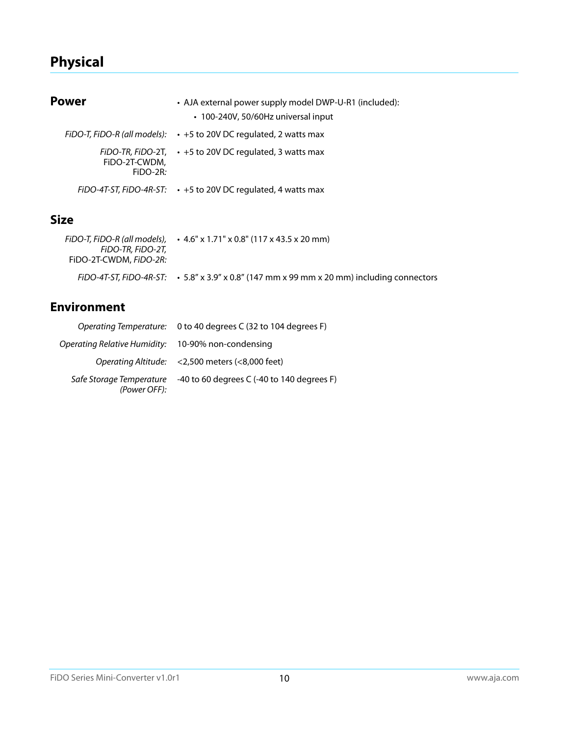# <span id="page-9-0"></span>**Physical**

<span id="page-9-1"></span>

| Power                       | • AJA external power supply model DWP-U-R1 (included):<br>• 100-240V, 50/60Hz universal input |
|-----------------------------|-----------------------------------------------------------------------------------------------|
|                             | FiDO-T, FiDO-R (all models): $\cdot$ +5 to 20V DC regulated, 2 watts max                      |
| FIDO-2T-CWDM.<br>$FIDO-2R:$ | FIDO-TR, FIDO-2T, $\cdot$ +5 to 20V DC regulated, 3 watts max                                 |
|                             | FiDO-4T-ST, FiDO-4R-ST: $\cdot$ +5 to 20V DC regulated, 4 watts max                           |
| Size                        |                                                                                               |
| FiDO-T FiDO-R (all models)  | $.46"$ v 1 71" v 0 8" (117 v 43 5 v 20 mm)                                                    |

<span id="page-9-2"></span>

| FiDO-T. FiDO-R (all models).<br>FIDO-TR. FIDO-2T.<br>FiDO-2T-CWDM, FiDO-2R: | $\cdot$ 4.6" x 1.71" x 0.8" (117 x 43.5 x 20 mm)                                                 |
|-----------------------------------------------------------------------------|--------------------------------------------------------------------------------------------------|
|                                                                             | FiDO-4T-ST, FiDO-4R-ST: $\cdot$ 5.8" x 3.9" x 0.8" (147 mm x 99 mm x 20 mm) including connectors |

# <span id="page-9-3"></span>**Environment**

|                                                    | Operating Temperature: 0 to 40 degrees C (32 to 104 degrees F) |
|----------------------------------------------------|----------------------------------------------------------------|
| Operating Relative Humidity: 10-90% non-condensing |                                                                |
|                                                    | Operating Altitude: <2,500 meters (<8,000 feet)                |
| Safe Storage Temperature<br>(Power OFF):           | -40 to 60 degrees C $(-40$ to 140 degrees F)                   |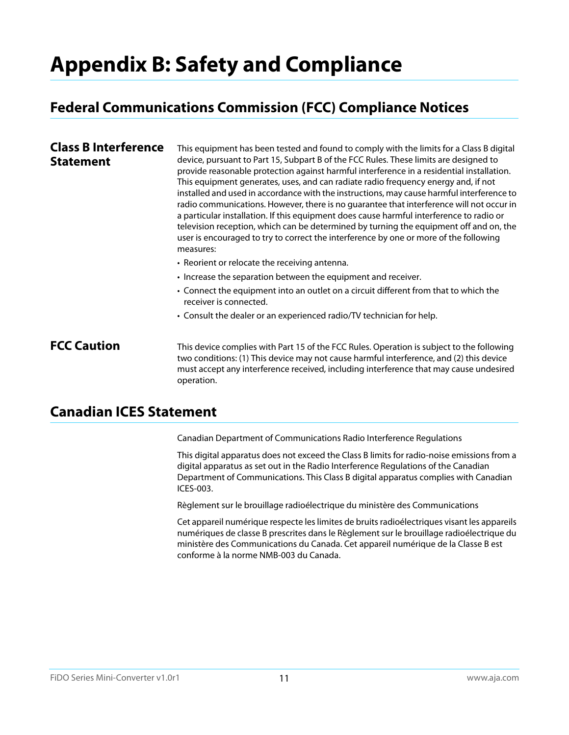# <span id="page-10-0"></span>**Appendix B: Safety and Compliance**

# <span id="page-10-1"></span>**Federal Communications Commission (FCC) Compliance Notices**

#### <span id="page-10-2"></span>**Class B Interference Statement** This equipment has been tested and found to comply with the limits for a Class B digital device, pursuant to Part 15, Subpart B of the FCC Rules. These limits are designed to provide reasonable protection against harmful interference in a residential installation. This equipment generates, uses, and can radiate radio frequency energy and, if not installed and used in accordance with the instructions, may cause harmful interference to radio communications. However, there is no guarantee that interference will not occur in a particular installation. If this equipment does cause harmful interference to radio or television reception, which can be determined by turning the equipment off and on, the user is encouraged to try to correct the interference by one or more of the following measures: • Reorient or relocate the receiving antenna. • Increase the separation between the equipment and receiver. • Connect the equipment into an outlet on a circuit different from that to which the receiver is connected. • Consult the dealer or an experienced radio/TV technician for help.

<span id="page-10-3"></span>**FCC Caution** This device complies with Part 15 of the FCC Rules. Operation is subject to the following two conditions: (1) This device may not cause harmful interference, and (2) this device must accept any interference received, including interference that may cause undesired operation.

# <span id="page-10-4"></span>**Canadian ICES Statement**

Canadian Department of Communications Radio Interference Regulations

This digital apparatus does not exceed the Class B limits for radio-noise emissions from a digital apparatus as set out in the Radio Interference Regulations of the Canadian Department of Communications. This Class B digital apparatus complies with Canadian ICES-003.

Règlement sur le brouillage radioélectrique du ministère des Communications

Cet appareil numérique respecte les limites de bruits radioélectriques visant les appareils numériques de classe B prescrites dans le Règlement sur le brouillage radioélectrique du ministère des Communications du Canada. Cet appareil numérique de la Classe B est conforme à la norme NMB-003 du Canada.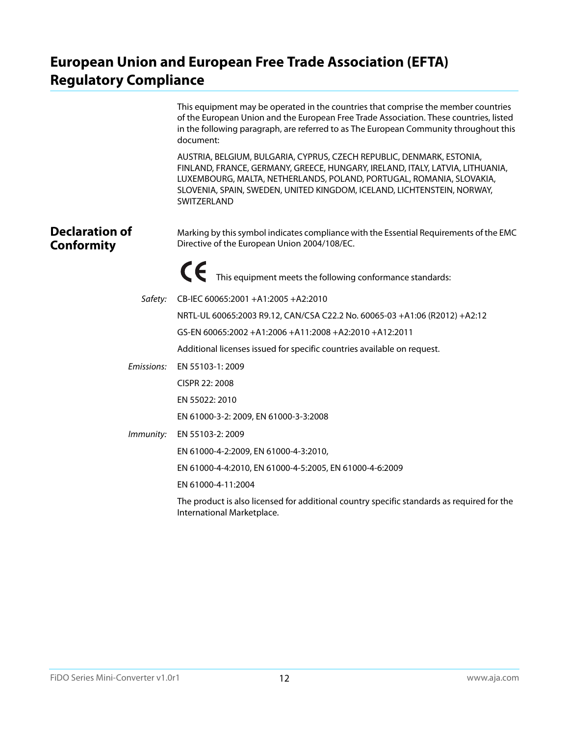# <span id="page-11-0"></span>**European Union and European Free Trade Association (EFTA) Regulatory Compliance**

<span id="page-11-1"></span>

|                                            | This equipment may be operated in the countries that comprise the member countries<br>of the European Union and the European Free Trade Association. These countries, listed<br>in the following paragraph, are referred to as The European Community throughout this<br>document:                                       |
|--------------------------------------------|--------------------------------------------------------------------------------------------------------------------------------------------------------------------------------------------------------------------------------------------------------------------------------------------------------------------------|
|                                            | AUSTRIA, BELGIUM, BULGARIA, CYPRUS, CZECH REPUBLIC, DENMARK, ESTONIA,<br>FINLAND, FRANCE, GERMANY, GREECE, HUNGARY, IRELAND, ITALY, LATVIA, LITHUANIA,<br>LUXEMBOURG, MALTA, NETHERLANDS, POLAND, PORTUGAL, ROMANIA, SLOVAKIA,<br>SLOVENIA, SPAIN, SWEDEN, UNITED KINGDOM, ICELAND, LICHTENSTEIN, NORWAY,<br>SWITZERLAND |
| <b>Declaration of</b><br><b>Conformity</b> | Marking by this symbol indicates compliance with the Essential Requirements of the EMC<br>Directive of the European Union 2004/108/EC.                                                                                                                                                                                   |
|                                            | This equipment meets the following conformance standards:                                                                                                                                                                                                                                                                |
| Safety:                                    | CB-IEC 60065:2001 +A1:2005 +A2:2010                                                                                                                                                                                                                                                                                      |
|                                            | NRTL-UL 60065:2003 R9.12, CAN/CSA C22.2 No. 60065-03 +A1:06 (R2012) +A2:12                                                                                                                                                                                                                                               |
|                                            | GS-EN 60065:2002 +A1:2006 +A11:2008 +A2:2010 +A12:2011                                                                                                                                                                                                                                                                   |
|                                            | Additional licenses issued for specific countries available on request.                                                                                                                                                                                                                                                  |
| Emissions:                                 | EN 55103-1: 2009                                                                                                                                                                                                                                                                                                         |
|                                            | CISPR 22: 2008                                                                                                                                                                                                                                                                                                           |
|                                            | EN 55022: 2010                                                                                                                                                                                                                                                                                                           |
|                                            | EN 61000-3-2: 2009, EN 61000-3-3:2008                                                                                                                                                                                                                                                                                    |
| Immunity:                                  | EN 55103-2: 2009                                                                                                                                                                                                                                                                                                         |
|                                            | EN 61000-4-2:2009, EN 61000-4-3:2010,                                                                                                                                                                                                                                                                                    |
|                                            | EN 61000-4-4:2010, EN 61000-4-5:2005, EN 61000-4-6:2009                                                                                                                                                                                                                                                                  |
|                                            | EN 61000-4-11:2004                                                                                                                                                                                                                                                                                                       |
|                                            | The product is also licensed for additional country specific standards as required for the<br>International Marketplace.                                                                                                                                                                                                 |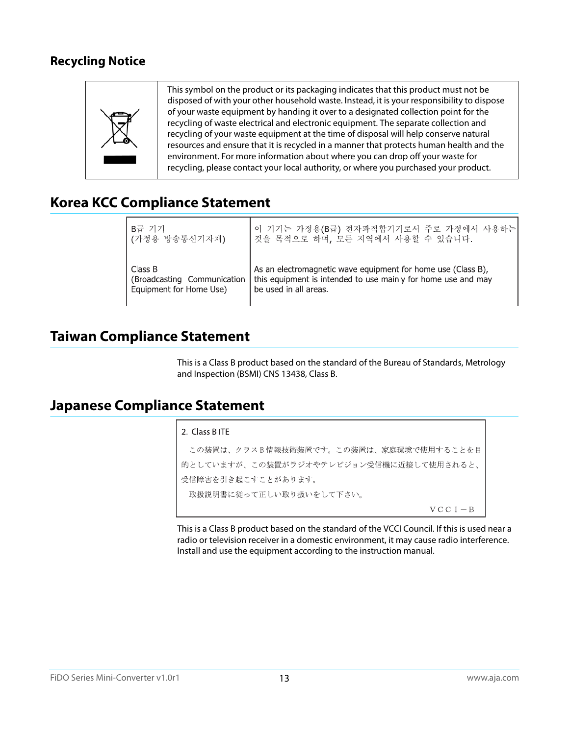## <span id="page-12-0"></span>**Recycling Notice**



# <span id="page-12-1"></span>**Korea KCC Compliance Statement**

| B급 기기                       | 이 기기는 가정용(B급) 전자파적합기기로서 주로 가정에서 사용하는                          |
|-----------------------------|---------------------------------------------------------------|
| ┃(가정용 방송통신기자재)              | 것을 목적으로 하며, 모든 지역에서 사용할 수 있습니다.                               |
| Class B                     | As an electromagnetic wave equipment for home use (Class B),  |
| (Broadcasting Communication | this equipment is intended to use mainly for home use and may |
| Equipment for Home Use)     | be used in all areas.                                         |

# <span id="page-12-2"></span>**Taiwan Compliance Statement**

This is a Class B product based on the standard of the Bureau of Standards, Metrology and Inspection (BSMI) CNS 13438, Class B.

## <span id="page-12-3"></span>**Japanese Compliance Statement**

### 2. Class B ITE

この装置は、クラスB情報技術装置です。この装置は、家庭環境で使用することを目 的としていますが、この装置がラジオやテレビジョン受信機に近接して使用されると、 受信障害を引き起こすことがあります。 取扱説明書に従って正しい取り扱いをして下さい。  $V C C I - B$ 

This is a Class B product based on the standard of the VCCI Council. If this is used near a radio or television receiver in a domestic environment, it may cause radio interference. Install and use the equipment according to the instruction manual.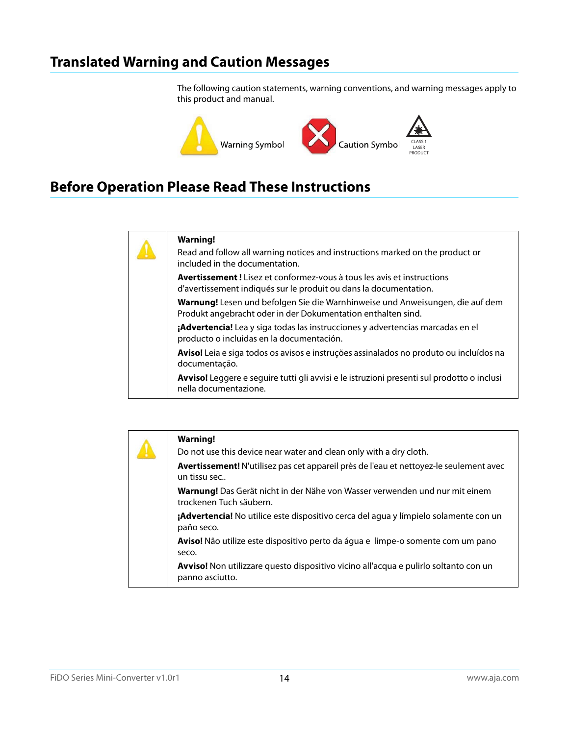# <span id="page-13-0"></span>**Translated Warning and Caution Messages**

The following caution statements, warning conventions, and warning messages apply to this product and manual.



# <span id="page-13-1"></span>**Before Operation Please Read These Instructions**



### **Warning!**

Read and follow all warning notices and instructions marked on the product or included in the documentation.

**Avertissement !** Lisez et conformez-vous à tous les avis et instructions d'avertissement indiqués sur le produit ou dans la documentation.

**Warnung!** Lesen und befolgen Sie die Warnhinweise und Anweisungen, die auf dem Produkt angebracht oder in der Dokumentation enthalten sind.

**¡Advertencia!** Lea y siga todas las instrucciones y advertencias marcadas en el producto o incluidas en la documentación.

**Aviso!** Leia e siga todos os avisos e instruções assinalados no produto ou incluídos na documentação.

**Avviso!** Leggere e seguire tutti gli avvisi e le istruzioni presenti sul prodotto o inclusi nella documentazione.

|  | <b>Warning!</b>                                                                                               |
|--|---------------------------------------------------------------------------------------------------------------|
|  | Do not use this device near water and clean only with a dry cloth.                                            |
|  | Avertissement! N'utilisez pas cet appareil près de l'eau et nettoyez-le seulement avec<br>un tissu sec        |
|  | <b>Warnung!</b> Das Gerät nicht in der Nähe von Wasser verwenden und nur mit einem<br>trockenen Tuch säubern. |
|  | <b>¡Advertencia!</b> No utilice este dispositivo cerca del agua y límpielo solamente con un<br>paño seco.     |
|  | <b>Aviso!</b> Não utilize este dispositivo perto da água e limpe-o somente com um pano<br>seco.               |
|  | Avviso! Non utilizzare questo dispositivo vicino all'acqua e pulirlo soltanto con un<br>panno asciutto.       |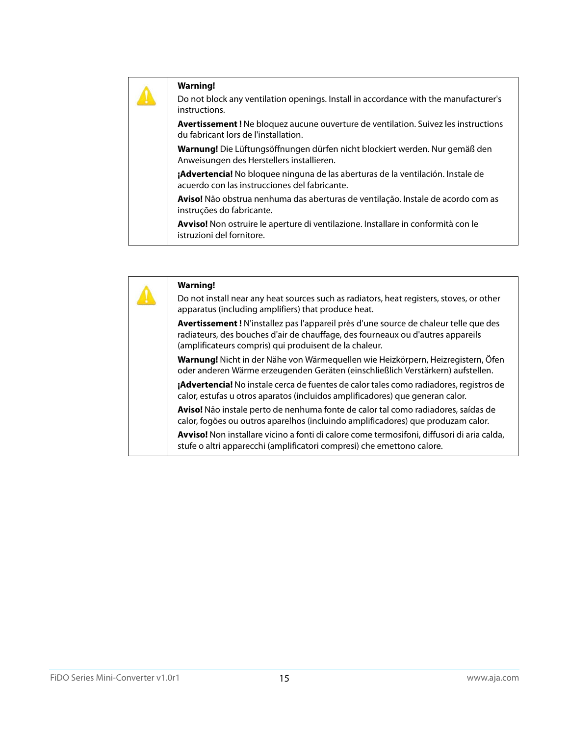| <b>Warning!</b><br>Do not block any ventilation openings. Install in accordance with the manufacturer's<br>instructions.          |
|-----------------------------------------------------------------------------------------------------------------------------------|
| <b>Avertissement!</b> Ne bloquez aucune ouverture de ventilation. Suivez les instructions<br>du fabricant lors de l'installation. |
| Warnung! Die Lüftungsöffnungen dürfen nicht blockiert werden. Nur gemäß den<br>Anweisungen des Herstellers installieren.          |
| ¡Advertencia! No bloquee ninguna de las aberturas de la ventilación. Instale de<br>acuerdo con las instrucciones del fabricante.  |
| <b>Aviso!</b> Não obstrua nenhuma das aberturas de ventilação. Instale de acordo com as<br>instruções do fabricante.              |
| Avviso! Non ostruire le aperture di ventilazione. Installare in conformità con le<br>istruzioni del fornitore.                    |

|  | <b>Warning!</b>                                                                                                                                                                                                                   |
|--|-----------------------------------------------------------------------------------------------------------------------------------------------------------------------------------------------------------------------------------|
|  | Do not install near any heat sources such as radiators, heat registers, stoves, or other<br>apparatus (including amplifiers) that produce heat.                                                                                   |
|  | Avertissement! N'installez pas l'appareil près d'une source de chaleur telle que des<br>radiateurs, des bouches d'air de chauffage, des fourneaux ou d'autres appareils<br>(amplificateurs compris) qui produisent de la chaleur. |
|  | Warnung! Nicht in der Nähe von Wärmequellen wie Heizkörpern, Heizregistern, Öfen<br>oder anderen Wärme erzeugenden Geräten (einschließlich Verstärkern) aufstellen.                                                               |
|  | ¡Advertencia! No instale cerca de fuentes de calor tales como radiadores, registros de<br>calor, estufas u otros aparatos (incluidos amplificadores) que generan calor.                                                           |
|  | Aviso! Não instale perto de nenhuma fonte de calor tal como radiadores, saídas de<br>calor, fogões ou outros aparelhos (incluindo amplificadores) que produzam calor.                                                             |
|  | Avviso! Non installare vicino a fonti di calore come termosifoni, diffusori di aria calda,<br>stufe o altri apparecchi (amplificatori compresi) che emettono calore.                                                              |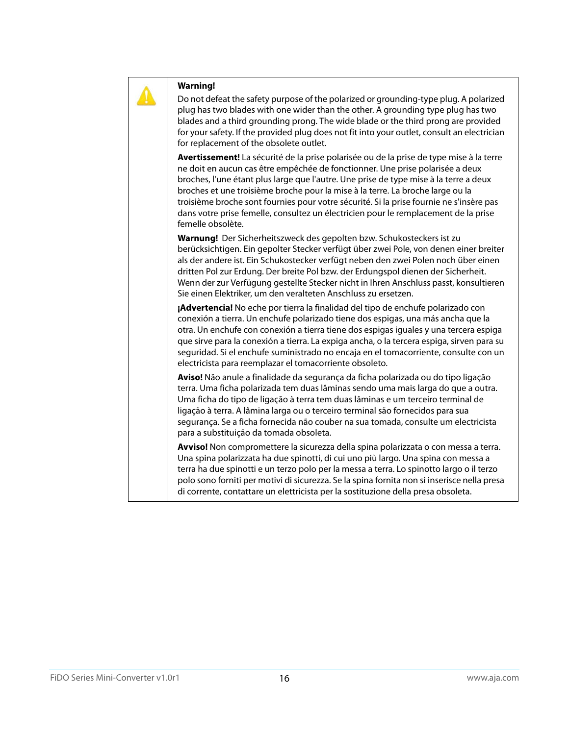

Do not defeat the safety purpose of the polarized or grounding-type plug. A polarized plug has two blades with one wider than the other. A grounding type plug has two blades and a third grounding prong. The wide blade or the third prong are provided for your safety. If the provided plug does not fit into your outlet, consult an electrician for replacement of the obsolete outlet.

**Avertissement!** La sécurité de la prise polarisée ou de la prise de type mise à la terre ne doit en aucun cas être empêchée de fonctionner. Une prise polarisée a deux broches, l'une étant plus large que l'autre. Une prise de type mise à la terre a deux broches et une troisième broche pour la mise à la terre. La broche large ou la troisième broche sont fournies pour votre sécurité. Si la prise fournie ne s'insère pas dans votre prise femelle, consultez un électricien pour le remplacement de la prise femelle obsolète.

**Warnung!** Der Sicherheitszweck des gepolten bzw. Schukosteckers ist zu berücksichtigen. Ein gepolter Stecker verfügt über zwei Pole, von denen einer breiter als der andere ist. Ein Schukostecker verfügt neben den zwei Polen noch über einen dritten Pol zur Erdung. Der breite Pol bzw. der Erdungspol dienen der Sicherheit. Wenn der zur Verfügung gestellte Stecker nicht in Ihren Anschluss passt, konsultieren Sie einen Elektriker, um den veralteten Anschluss zu ersetzen.

**¡Advertencia!** No eche por tierra la finalidad del tipo de enchufe polarizado con conexión a tierra. Un enchufe polarizado tiene dos espigas, una más ancha que la otra. Un enchufe con conexión a tierra tiene dos espigas iguales y una tercera espiga que sirve para la conexión a tierra. La expiga ancha, o la tercera espiga, sirven para su seguridad. Si el enchufe suministrado no encaja en el tomacorriente, consulte con un electricista para reemplazar el tomacorriente obsoleto.

**Aviso!** Não anule a finalidade da segurança da ficha polarizada ou do tipo ligação terra. Uma ficha polarizada tem duas lâminas sendo uma mais larga do que a outra. Uma ficha do tipo de ligação à terra tem duas lâminas e um terceiro terminal de ligação à terra. A lâmina larga ou o terceiro terminal são fornecidos para sua segurança. Se a ficha fornecida não couber na sua tomada, consulte um electricista para a substituição da tomada obsoleta.

**Avviso!** Non compromettere la sicurezza della spina polarizzata o con messa a terra. Una spina polarizzata ha due spinotti, di cui uno più largo. Una spina con messa a terra ha due spinotti e un terzo polo per la messa a terra. Lo spinotto largo o il terzo polo sono forniti per motivi di sicurezza. Se la spina fornita non si inserisce nella presa di corrente, contattare un elettricista per la sostituzione della presa obsoleta.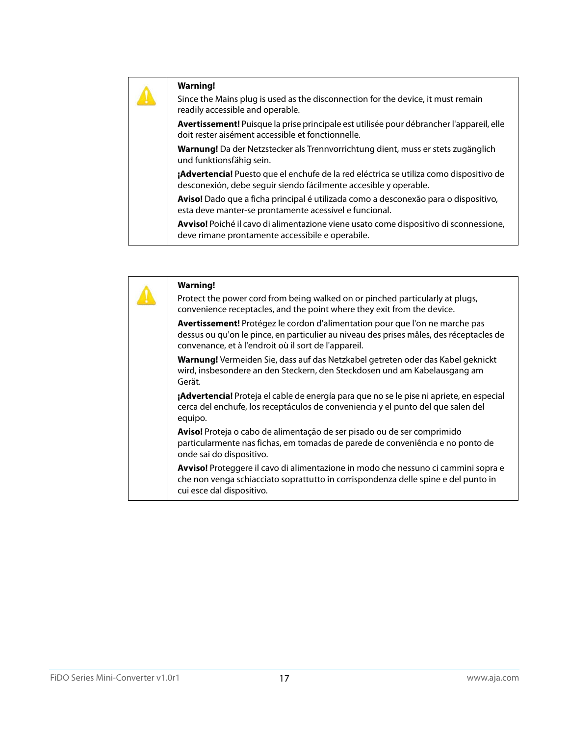Since the Mains plug is used as the disconnection for the device, it must remain readily accessible and operable.

**Avertissement!** Puisque la prise principale est utilisée pour débrancher l'appareil, elle doit rester aisément accessible et fonctionnelle.

**Warnung!** Da der Netzstecker als Trennvorrichtung dient, muss er stets zugänglich und funktionsfähig sein.

**¡Advertencia!** Puesto que el enchufe de la red eléctrica se utiliza como dispositivo de desconexión, debe seguir siendo fácilmente accesible y operable.

**Aviso!** Dado que a ficha principal é utilizada como a desconexão para o dispositivo, esta deve manter-se prontamente acessível e funcional.

**Avviso!** Poiché il cavo di alimentazione viene usato come dispositivo di sconnessione, deve rimane prontamente accessibile e operabile.

| <b>Warning!</b><br>Protect the power cord from being walked on or pinched particularly at plugs,<br>convenience receptacles, and the point where they exit from the device.                                                     |
|---------------------------------------------------------------------------------------------------------------------------------------------------------------------------------------------------------------------------------|
| Avertissement! Protégez le cordon d'alimentation pour que l'on ne marche pas<br>dessus ou qu'on le pince, en particulier au niveau des prises mâles, des réceptacles de<br>convenance, et à l'endroit où il sort de l'appareil. |
| Warnung! Vermeiden Sie, dass auf das Netzkabel getreten oder das Kabel geknickt<br>wird, insbesondere an den Steckern, den Steckdosen und am Kabelausgang am<br>Gerät.                                                          |
| ¡Advertencia! Proteja el cable de energía para que no se le pise ni apriete, en especial<br>cerca del enchufe, los receptáculos de conveniencia y el punto del que salen del<br>equipo.                                         |
| Aviso! Proteja o cabo de alimentação de ser pisado ou de ser comprimido<br>particularmente nas fichas, em tomadas de parede de conveniência e no ponto de<br>onde sai do dispositivo.                                           |
| Avviso! Proteggere il cavo di alimentazione in modo che nessuno ci cammini sopra e<br>che non venga schiacciato soprattutto in corrispondenza delle spine e del punto in<br>cui esce dal dispositivo.                           |
|                                                                                                                                                                                                                                 |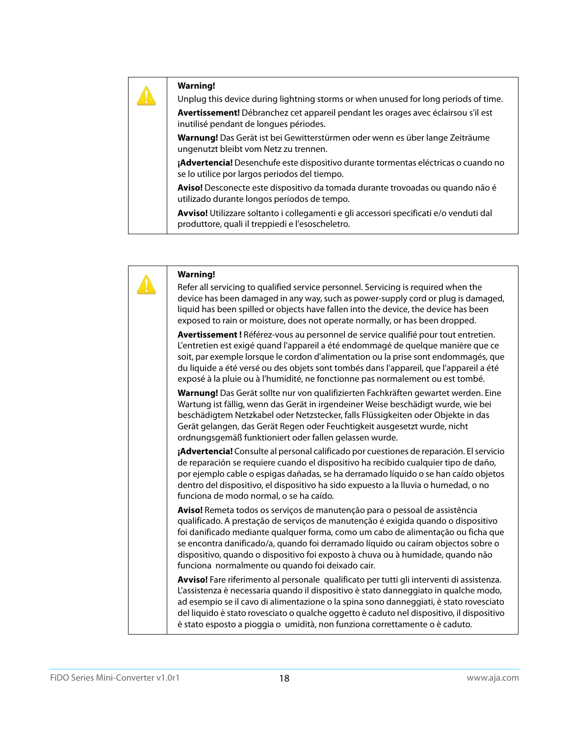Unplug this device during lightning storms or when unused for long periods of time.

**Avertissement!** Débranchez cet appareil pendant les orages avec éclairsou s'il est inutilisé pendant de longues périodes.

**Warnung!** Das Gerät ist bei Gewitterstürmen oder wenn es über lange Zeiträume ungenutzt bleibt vom Netz zu trennen.

**¡Advertencia!** Desenchufe este dispositivo durante tormentas eléctricas o cuando no se lo utilice por largos periodos del tiempo.

**Aviso!** Desconecte este dispositivo da tomada durante trovoadas ou quando não é utilizado durante longos períodos de tempo.

**Avviso!** Utilizzare soltanto i collegamenti e gli accessori specificati e/o venduti dal produttore, quali il treppiedi e l'esoscheletro.

| <b>Warning!</b>                                                                                                                                                                                                                                                                                                                                                                                                                                                                  |
|----------------------------------------------------------------------------------------------------------------------------------------------------------------------------------------------------------------------------------------------------------------------------------------------------------------------------------------------------------------------------------------------------------------------------------------------------------------------------------|
| Refer all servicing to qualified service personnel. Servicing is required when the<br>device has been damaged in any way, such as power-supply cord or plug is damaged,<br>liquid has been spilled or objects have fallen into the device, the device has been<br>exposed to rain or moisture, does not operate normally, or has been dropped.                                                                                                                                   |
| Avertissement ! Référez-vous au personnel de service qualifié pour tout entretien.<br>L'entretien est exigé quand l'appareil a été endommagé de quelque manière que ce<br>soit, par exemple lorsque le cordon d'alimentation ou la prise sont endommagés, que<br>du liquide a été versé ou des objets sont tombés dans l'appareil, que l'appareil a été<br>exposé à la pluie ou à l'humidité, ne fonctionne pas normalement ou est tombé.                                        |
| Warnung! Das Gerät sollte nur von qualifizierten Fachkräften gewartet werden. Eine<br>Wartung ist fällig, wenn das Gerät in irgendeiner Weise beschädigt wurde, wie bei<br>beschädigtem Netzkabel oder Netzstecker, falls Flüssigkeiten oder Objekte in das<br>Gerät gelangen, das Gerät Regen oder Feuchtigkeit ausgesetzt wurde, nicht<br>ordnungsgemäß funktioniert oder fallen gelassen wurde.                                                                               |
| ¡Advertencia! Consulte al personal calificado por cuestiones de reparación. El servicio<br>de reparación se requiere cuando el dispositivo ha recibido cualquier tipo de daño,<br>por ejemplo cable o espigas dañadas, se ha derramado líquido o se han caído objetos<br>dentro del dispositivo, el dispositivo ha sido expuesto a la lluvia o humedad, o no<br>funciona de modo normal, o se ha caído.                                                                          |
| Aviso! Remeta todos os serviços de manutenção para o pessoal de assistência<br>qualificado. A prestação de serviços de manutenção é exigida quando o dispositivo<br>foi danificado mediante qualquer forma, como um cabo de alimentação ou ficha que<br>se encontra danificado/a, quando foi derramado líquido ou caíram objectos sobre o<br>dispositivo, quando o dispositivo foi exposto à chuva ou à humidade, quando não<br>funciona normalmente ou quando foi deixado cair. |
| Avviso! Fare riferimento al personale qualificato per tutti gli interventi di assistenza.<br>L'assistenza è necessaria quando il dispositivo è stato danneggiato in qualche modo,<br>ad esempio se il cavo di alimentazione o la spina sono danneggiati, è stato rovesciato<br>del liquido è stato rovesciato o qualche oggetto è caduto nel dispositivo, il dispositivo<br>è stato esposto a pioggia o umidità, non funziona correttamente o è caduto.                          |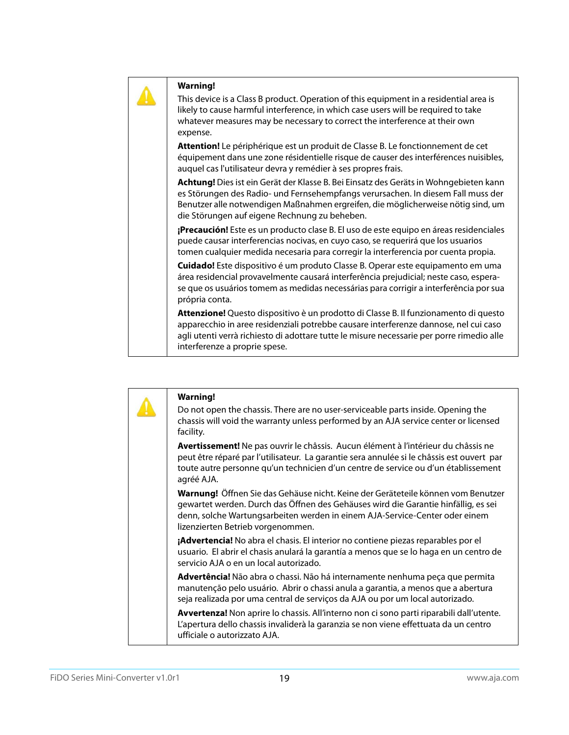This device is a Class B product. Operation of this equipment in a residential area is likely to cause harmful interference, in which case users will be required to take whatever measures may be necessary to correct the interference at their own expense.

**Attention!** Le périphérique est un produit de Classe B. Le fonctionnement de cet équipement dans une zone résidentielle risque de causer des interférences nuisibles, auquel cas l'utilisateur devra y remédier à ses propres frais.

**Achtung!** Dies ist ein Gerät der Klasse B. Bei Einsatz des Geräts in Wohngebieten kann es Störungen des Radio- und Fernsehempfangs verursachen. In diesem Fall muss der Benutzer alle notwendigen Maßnahmen ergreifen, die möglicherweise nötig sind, um die Störungen auf eigene Rechnung zu beheben.

**¡Precaución!** Este es un producto clase B. El uso de este equipo en áreas residenciales puede causar interferencias nocivas, en cuyo caso, se requerirá que los usuarios tomen cualquier medida necesaria para corregir la interferencia por cuenta propia.

**Cuidado!** Este dispositivo é um produto Classe B. Operar este equipamento em uma área residencial provavelmente causará interferência prejudicial; neste caso, esperase que os usuários tomem as medidas necessárias para corrigir a interferência por sua própria conta.

**Attenzione!** Questo dispositivo è un prodotto di Classe B. Il funzionamento di questo apparecchio in aree residenziali potrebbe causare interferenze dannose, nel cui caso agli utenti verrà richiesto di adottare tutte le misure necessarie per porre rimedio alle interferenze a proprie spese.

|  | <b>Warning!</b><br>Do not open the chassis. There are no user-serviceable parts inside. Opening the<br>chassis will void the warranty unless performed by an AJA service center or licensed<br>facility.                                                                                   |
|--|--------------------------------------------------------------------------------------------------------------------------------------------------------------------------------------------------------------------------------------------------------------------------------------------|
|  | Avertissement! Ne pas ouvrir le châssis. Aucun élément à l'intérieur du châssis ne<br>peut être réparé par l'utilisateur. La garantie sera annulée si le châssis est ouvert par<br>toute autre personne qu'un technicien d'un centre de service ou d'un établissement<br>agréé AJA.        |
|  | Warnung! Öffnen Sie das Gehäuse nicht. Keine der Geräteteile können vom Benutzer<br>gewartet werden. Durch das Öffnen des Gehäuses wird die Garantie hinfällig, es sei<br>denn, solche Wartungsarbeiten werden in einem AJA-Service-Center oder einem<br>lizenzierten Betrieb vorgenommen. |
|  | <b>¡Advertencia!</b> No abra el chasis. El interior no contiene piezas reparables por el<br>usuario. El abrir el chasis anulará la garantía a menos que se lo haga en un centro de<br>servicio AJA o en un local autorizado.                                                               |
|  | Advertência! Não abra o chassi. Não há internamente nenhuma peça que permita<br>manutenção pelo usuário. Abrir o chassi anula a garantia, a menos que a abertura<br>seja realizada por uma central de serviços da AJA ou por um local autorizado.                                          |
|  | Avvertenza! Non aprire lo chassis. All'interno non ci sono parti riparabili dall'utente.<br>L'apertura dello chassis invaliderà la garanzia se non viene effettuata da un centro<br>ufficiale o autorizzato AJA.                                                                           |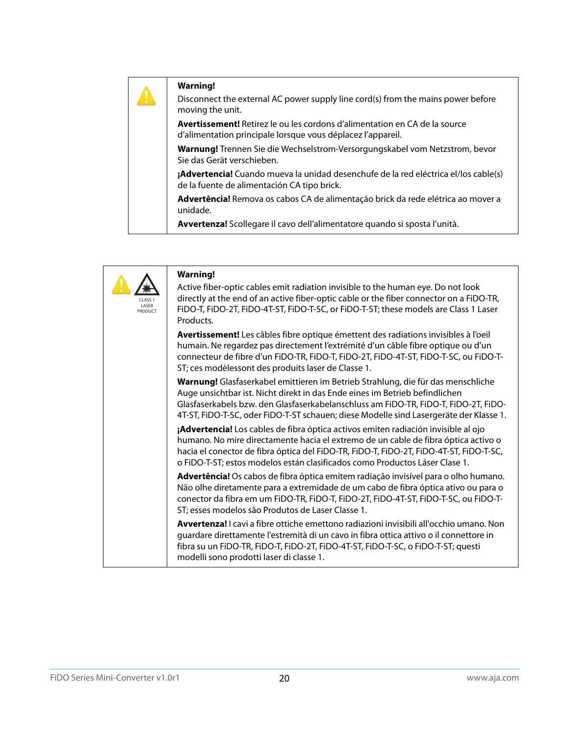| <b>Warning!</b><br>Disconnect the external AC power supply line cord(s) from the mains power before<br>moving the unit.                          |
|--------------------------------------------------------------------------------------------------------------------------------------------------|
| <b>Avertissement!</b> Retirez le ou les cordons d'alimentation en CA de la source<br>d'alimentation principale lorsque vous déplacez l'appareil. |
| Warnung! Trennen Sie die Wechselstrom-Versorgungskabel vom Netzstrom, bevor<br>Sie das Gerät verschieben.                                        |
| ¡Advertencia! Cuando mueva la unidad desenchufe de la red eléctrica el/los cable(s)<br>de la fuente de alimentación CA tipo brick.               |
| Advertência! Remova os cabos CA de alimentação brick da rede elétrica ao mover a<br>unidade.                                                     |
| Avvertenza! Scollegare il cavo dell'alimentatore quando si sposta l'unità.                                                                       |

| CLASS <sub>1</sub><br>LASER<br>PRODUCT | <b>Warning!</b><br>Active fiber-optic cables emit radiation invisible to the human eye. Do not look<br>directly at the end of an active fiber-optic cable or the fiber connector on a FiDO-TR,<br>FiDO-T, FiDO-2T, FiDO-4T-ST, FiDO-T-SC, or FiDO-T-ST; these models are Class 1 Laser<br>Products.                                               |
|----------------------------------------|---------------------------------------------------------------------------------------------------------------------------------------------------------------------------------------------------------------------------------------------------------------------------------------------------------------------------------------------------|
|                                        | Avertissement! Les câbles fibre optique émettent des radiations invisibles à l'oeil<br>humain. Ne regardez pas directement l'extrémité d'un câble fibre optique ou d'un<br>connecteur de fibre d'un FiDO-TR, FiDO-T, FiDO-2T, FiDO-4T-ST, FiDO-T-SC, ou FiDO-T-<br>ST; ces modèlessont des produits laser de Classe 1.                            |
|                                        | Warnung! Glasfaserkabel emittieren im Betrieb Strahlung, die für das menschliche<br>Auge unsichtbar ist. Nicht direkt in das Ende eines im Betrieb befindlichen<br>Glasfaserkabels bzw. den Glasfaserkabelanschluss am FiDO-TR, FiDO-T, FiDO-2T, FiDO-<br>4T-ST, FiDO-T-SC, oder FiDO-T-ST schauen; diese Modelle sind Lasergeräte der Klasse 1.  |
|                                        | ¡Advertencia! Los cables de fibra óptica activos emiten radiación invisible al ojo<br>humano. No mire directamente hacia el extremo de un cable de fibra óptica activo o<br>hacia el conector de fibra óptica del FiDO-TR, FiDO-T, FiDO-2T, FiDO-4T-ST, FiDO-T-SC,<br>o FiDO-T-ST; estos modelos están clasificados como Productos Láser Clase 1. |
|                                        | Advertência! Os cabos de fibra óptica emitem radiação invisível para o olho humano.<br>Não olhe diretamente para a extremidade de um cabo de fibra óptica ativo ou para o<br>conector da fibra em um FiDO-TR, FiDO-T, FiDO-2T, FiDO-4T-ST, FiDO-T-SC, ou FiDO-T-<br>ST; esses modelos são Produtos de Laser Classe 1.                             |
|                                        | Avvertenza! I cavi a fibre ottiche emettono radiazioni invisibili all'occhio umano. Non<br>guardare direttamente l'estremità di un cavo in fibra ottica attivo o il connettore in<br>fibra su un FiDO-TR, FiDO-T, FiDO-2T, FiDO-4T-ST, FiDO-T-SC, o FiDO-T-ST; questi<br>modelli sono prodotti laser di classe 1.                                 |